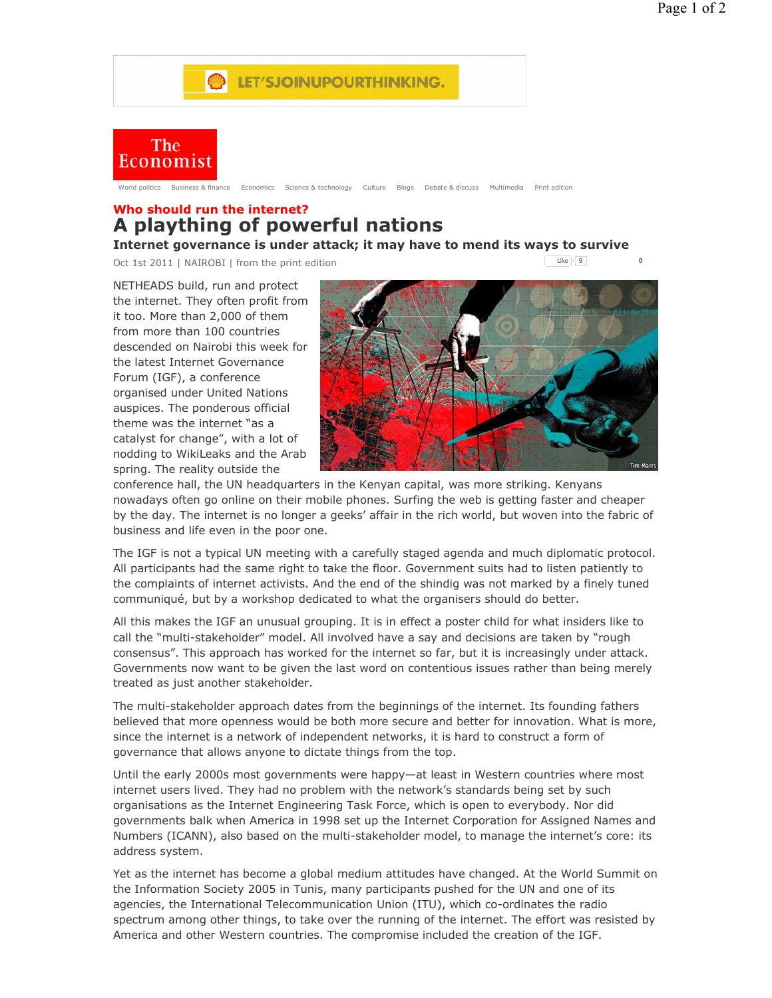## The Economist

World politics Business & finance Economics Science & technology Culture Blogs Debate & discuss Multimedia Print edition

## **Who should run the internet? A plaything of powerful nations**

**Internet governance is under attack; it may have to mend its ways to survive**

Oct 1st 2011 | NAIROBI | from the print edition

NETHEADS build, run and protect the internet. They often profit from it too. More than 2,000 of them from more than 100 countries descended on Nairobi this week for the latest Internet Governance Forum (IGF), a conference organised under United Nations auspices. The ponderous official theme was the internet "as a catalyst for change", with a lot of nodding to WikiLeaks and the Arab spring. The reality outside the



Like  $\sqrt{9}$ 

conference hall, the UN headquarters in the Kenyan capital, was more striking. Kenyans nowadays often go online on their mobile phones. Surfing the web is getting faster and cheaper by the day. The internet is no longer a geeks' affair in the rich world, but woven into the fabric of business and life even in the poor one.

The IGF is not a typical UN meeting with a carefully staged agenda and much diplomatic protocol. All participants had the same right to take the floor. Government suits had to listen patiently to the complaints of internet activists. And the end of the shindig was not marked by a finely tuned communiqué, but by a workshop dedicated to what the organisers should do better.

All this makes the IGF an unusual grouping. It is in effect a poster child for what insiders like to call the "multi-stakeholder" model. All involved have a say and decisions are taken by "rough consensus". This approach has worked for the internet so far, but it is increasingly under attack. Governments now want to be given the last word on contentious issues rather than being merely treated as just another stakeholder.

The multi-stakeholder approach dates from the beginnings of the internet. Its founding fathers believed that more openness would be both more secure and better for innovation. What is more, since the internet is a network of independent networks, it is hard to construct a form of governance that allows anyone to dictate things from the top.

Until the early 2000s most governments were happy—at least in Western countries where most internet users lived. They had no problem with the network's standards being set by such organisations as the Internet Engineering Task Force, which is open to everybody. Nor did governments balk when America in 1998 set up the Internet Corporation for Assigned Names and Numbers (ICANN), also based on the multi-stakeholder model, to manage the internet's core: its address system.

Yet as the internet has become a global medium attitudes have changed. At the World Summit on the Information Society 2005 in Tunis, many participants pushed for the UN and one of its agencies, the International Telecommunication Union (ITU), which co-ordinates the radio spectrum among other things, to take over the running of the internet. The effort was resisted by America and other Western countries. The compromise included the creation of the IGF.